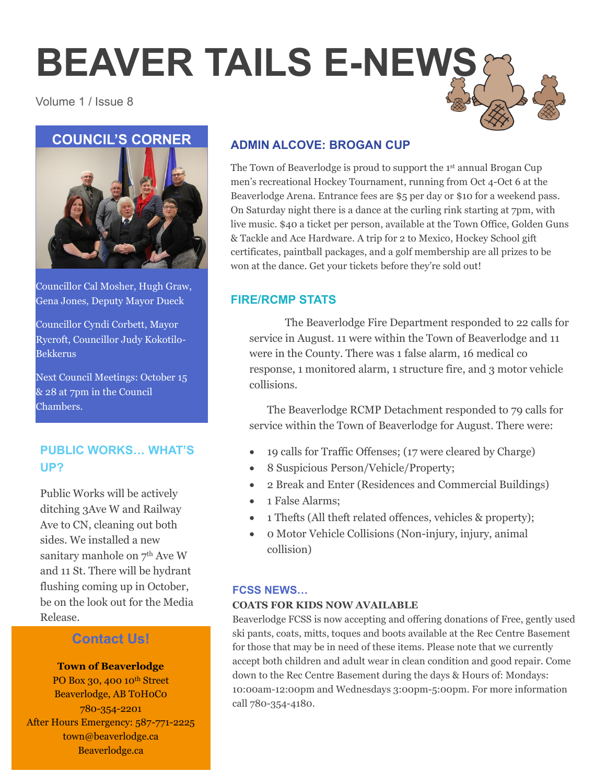# **BEAVER TAILS E-NEWS**

Volume 1 / Issue 8



Councillor Cal Mosher, Hugh Graw, Gena Jones, Deputy Mayor Dueck

Councillor Cyndi Corbett, Mayor Rycroft, Councillor Judy Kokotilo-Bekkerus

Next Council Meetings: October 15 & 28 at 7pm in the Council Chambers.

# **PUBLIC WORKS… WHAT'S UP?**

Public Works will be actively ditching 3Ave W and Railway Ave to CN, cleaning out both sides. We installed a new sanitary manhole on  $7<sup>th</sup>$  Ave W and 11 St. There will be hydrant flushing coming up in October, be on the look out for the Media Release.

# **Contact Us!**

#### **Town of Beaverlodge**

PO Box 30, 400 10<sup>th</sup> Street Beaverlodge, AB T0H0C0 780-354-2201 After Hours Emergency: 587-771-2225 town@beaverlodge.ca Beaverlodge.ca

# **ADMIN ALCOVE: BROGAN CUP**

The Town of Beaverlodge is proud to support the 1<sup>st</sup> annual Brogan Cup men's recreational Hockey Tournament, running from Oct 4-Oct 6 at the Beaverlodge Arena. Entrance fees are \$5 per day or \$10 for a weekend pass. On Saturday night there is a dance at the curling rink starting at 7pm, with live music. \$40 a ticket per person, available at the Town Office, Golden Guns & Tackle and Ace Hardware. A trip for 2 to Mexico, Hockey School gift certificates, paintball packages, and a golf membership are all prizes to be won at the dance. Get your tickets before they're sold out!

# **FIRE/RCMP STATS**

The Beaverlodge Fire Department responded to 22 calls for service in August. 11 were within the Town of Beaverlodge and 11 were in the County. There was 1 false alarm, 16 medical co response, 1 monitored alarm, 1 structure fire, and 3 motor vehicle collisions.

The Beaverlodge RCMP Detachment responded to 79 calls for service within the Town of Beaverlodge for August. There were:

- 19 calls for Traffic Offenses; (17 were cleared by Charge)
- 8 Suspicious Person/Vehicle/Property;
- 2 Break and Enter (Residences and Commercial Buildings)
- 1 False Alarms:
- 1 Thefts (All theft related offences, vehicles & property);
- 0 Motor Vehicle Collisions (Non-injury, injury, animal collision)

#### **FCSS NEWS…**

#### **COATS FOR KIDS NOW AVAILABLE**

Beaverlodge FCSS is now accepting and offering donations of Free, gently used ski pants, coats, mitts, toques and boots available at the Rec Centre Basement for those that may be in need of these items. Please note that we currently accept both children and adult wear in clean condition and good repair. Come down to the Rec Centre Basement during the days & Hours of: Mondays: 10:00am-12:00pm and Wednesdays 3:00pm-5:00pm. For more information call 780-354-4180.